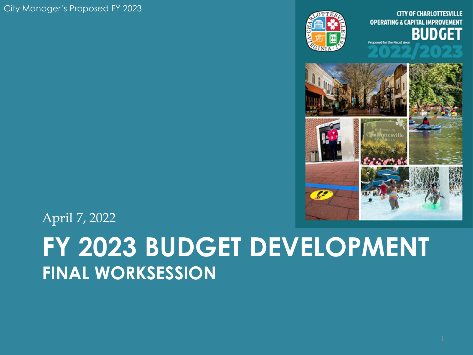City Manager's Proposed FY 2023



**OPERATING & CAPITAL IMPROVEMENT** BUDGET **Proposed for the Fiscal Ve** 



April 7, 2022

## **FY 2023 BUDGET DEVELOPMENT FINAL WORKSESSION**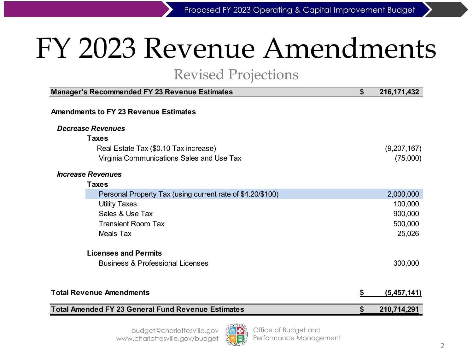## FY 2023 Revenue Amendments

#### Revised Projections

| Manager's Recommended FY 23 Revenue Estimates              | \$ | 216, 171, 432 |
|------------------------------------------------------------|----|---------------|
| <b>Amendments to FY 23 Revenue Estimates</b>               |    |               |
| Decrease Revenues                                          |    |               |
| <b>Taxes</b>                                               |    |               |
| Real Estate Tax (\$0.10 Tax increase)                      |    | (9,207,167)   |
| Virginia Communications Sales and Use Tax                  |    | (75,000)      |
| <b>Increase Revenues</b>                                   |    |               |
| <b>Taxes</b>                                               |    |               |
| Personal Property Tax (using current rate of \$4.20/\$100) |    | 2,000,000     |
| <b>Utility Taxes</b>                                       |    | 100,000       |
| Sales & Use Tax                                            |    | 900,000       |
| <b>Transient Room Tax</b>                                  |    | 500,000       |
| Meals Tax                                                  |    | 25,026        |
| <b>Licenses and Permits</b>                                |    |               |
| <b>Business &amp; Professional Licenses</b>                |    | 300,000       |
|                                                            |    |               |
| <b>Total Revenue Amendments</b>                            | S  | (5,457,141)   |
| <b>Total Amended FY 23 General Fund Revenue Estimates</b>  |    | 210,714,291   |

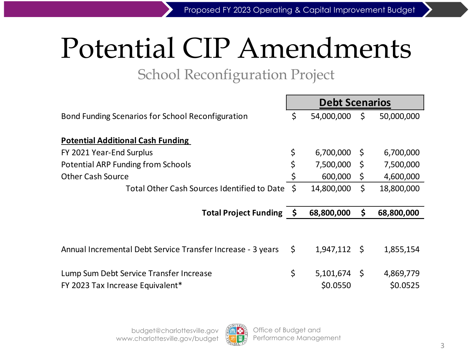# Potential CIP Amendments

### School Reconfiguration Project

|                                                                             |     | <b>Debt Scenarios</b> |      |                       |
|-----------------------------------------------------------------------------|-----|-----------------------|------|-----------------------|
| Bond Funding Scenarios for School Reconfiguration                           | \$  | 54,000,000            | \$   | 50,000,000            |
| <b>Potential Additional Cash Funding</b>                                    |     |                       |      |                       |
| FY 2021 Year-End Surplus                                                    | \$  | 6,700,000             | -\$  | 6,700,000             |
| <b>Potential ARP Funding from Schools</b>                                   | \$  | 7,500,000             | \$   | 7,500,000             |
| <b>Other Cash Source</b>                                                    | \$  | 600,000               | \$   | 4,600,000             |
| Total Other Cash Sources Identified to Date                                 | - Ś | 14,800,000            | \$   | 18,800,000            |
|                                                                             |     |                       |      |                       |
| <b>Total Project Funding</b>                                                | - S | 68,800,000            | \$   | 68,800,000            |
|                                                                             |     |                       |      |                       |
| Annual Incremental Debt Service Transfer Increase - 3 years                 | \$  | 1,947,112             | - \$ | 1,855,154             |
| Lump Sum Debt Service Transfer Increase<br>FY 2023 Tax Increase Equivalent* | \$  | 5,101,674<br>\$0.0550 | -\$  | 4,869,779<br>\$0.0525 |

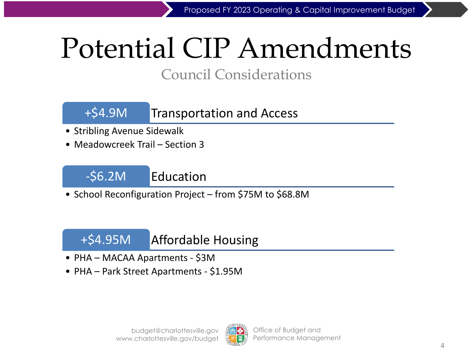# Potential CIP Amendments

### Council Considerations

### +\$4.9M Transportation and Access

- Stribling Avenue Sidewalk
- Meadowcreek Trail Section 3



• School Reconfiguration Project – from \$75M to \$68.8M

### +\$4.95M Affordable Housing

- PHA MACAA Apartments \$3M
- PHA Park Street Apartments \$1.95M

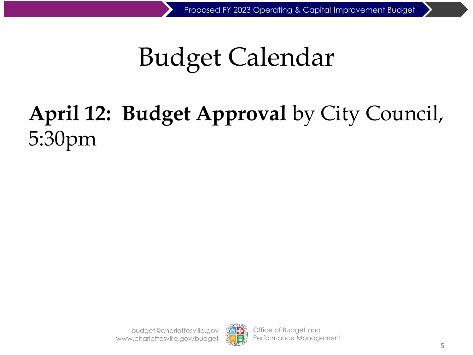## Budget Calendar

## **April 12: Budget Approval** by City Council, 5:30pm

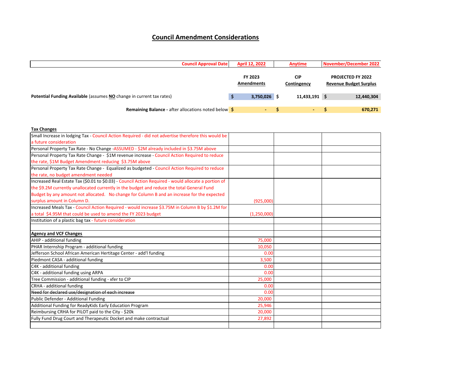#### **Council Amendment Considerations**

| <b>Council Approval Date</b>                                                | <b>April 12, 2022</b>        | Anytime                   | November/December 2022                                    |
|-----------------------------------------------------------------------------|------------------------------|---------------------------|-----------------------------------------------------------|
|                                                                             | FY 2023<br><b>Amendments</b> | <b>CIP</b><br>Contingency | <b>PROJECTED FY 2022</b><br><b>Revenue Budget Surplus</b> |
| <b>Potential Funding Available (assumes NO change in current tax rates)</b> | $3,750,026$ \$               | 11,433,191 \$             | 12,440,304                                                |
| <b>Remaining Balance - after allocations noted below \$</b>                 |                              | $\sim$                    | 670,271                                                   |

|  | <b>Tax Changes</b> |  |
|--|--------------------|--|
|  |                    |  |

| Small Increase in lodging Tax - Council Action Required - did not advertise therefore this would be  |             |  |
|------------------------------------------------------------------------------------------------------|-------------|--|
| a future consideration                                                                               |             |  |
| Personal Property Tax Rate - No Change -ASSUMED - \$2M already included in \$3.75M above             |             |  |
| Personal Property Tax Rate Change - \$1M revenue increase - Council Action Required to reduce        |             |  |
| the rate, \$1M Budget Amendment reducing \$3.75M above                                               |             |  |
| Personal Property Tax Rate Change - Equalized as budgeted - Council Action Required to reduce        |             |  |
| the rate, no budget amendment needed                                                                 |             |  |
| Increased Real Estate Tax (\$0.01 to \$0.03) - Council Action Required - would allocate a portion of |             |  |
| the \$9.2M currently unallocated currently in the budget and reduce the total General Fund           |             |  |
| Budget by any amount not allocated. No change for Column B and an increase for the expected          |             |  |
| surplus amount in Column D.                                                                          | (925,000)   |  |
| Increased Meals Tax - Council Action Required - would increase \$3.75M in Column B by \$1.2M for     |             |  |
| a total \$4.95M that could be used to amend the FY 2023 budget                                       | (1,250,000) |  |
| Institution of a plastic bag tax - future consideration                                              |             |  |
|                                                                                                      |             |  |
| <b>Agency and VCF Changes</b>                                                                        |             |  |
| AHIP - additional funding                                                                            | 75,000      |  |
| PHAR Internship Program - additional funding                                                         | 10,050      |  |
| Jefferson School African American Hertitage Center - add'l funding                                   | 0.00        |  |
| Piedmont CASA - additional funding                                                                   | 3,500       |  |
| C4K - additional funding                                                                             | 0.00        |  |
| C4K - additional funding using ARPA                                                                  | 0.00        |  |
| Tree Commission - additional funding - xfer to CIP                                                   | 25,000      |  |
| CRHA - additional funding                                                                            | 0.00        |  |
| Need for declared use/designation of each increase                                                   | 0.00        |  |
| Public Defender - Additional Funding                                                                 | 20,000      |  |
| Additional Funding for ReadyKids Early Education Program                                             | 25,946      |  |
| Reimbursing CRHA for PILOT paid to the City - \$20k                                                  | 20,000      |  |
| Fully Fund Drug Court and Therapeutic Docket and make contractual                                    | 27,892      |  |
|                                                                                                      |             |  |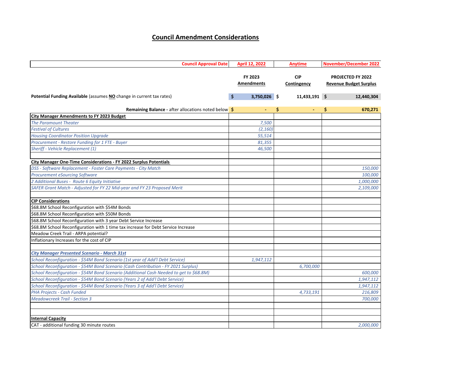#### **Council Amendment Considerations**

| <b>Council Approval Date</b>                                                            | April 12, 2022        | <b>Anytime</b>            | <b>November/December 2022</b>                             |
|-----------------------------------------------------------------------------------------|-----------------------|---------------------------|-----------------------------------------------------------|
|                                                                                         | FY 2023<br>Amendments | <b>CIP</b><br>Contingency | <b>PROJECTED FY 2022</b><br><b>Revenue Budget Surplus</b> |
| Potential Funding Available (assumes NO change in current tax rates)                    | \$<br>$3,750,026$ \$  | 11,433,191 \$             | 12,440,304                                                |
| <b>Remaining Balance - after allocations noted below \$</b>                             | $\blacksquare$        | \$<br>$\sim$              | 670,271<br>\$.                                            |
| <b>City Manager Amendments to FY 2023 Budget</b>                                        |                       |                           |                                                           |
| <b>The Paramount Theater</b>                                                            | 7,500                 |                           |                                                           |
| <b>Festival of Cultures</b>                                                             | (2, 160)              |                           |                                                           |
| <b>Housing Coordinator Position Upgrade</b>                                             | 55,514                |                           |                                                           |
| Procurement - Restore Funding for 1 FTE - Buyer                                         | 81,355                |                           |                                                           |
| Sheriff - Vehicle Replacement (1)                                                       | 46,500                |                           |                                                           |
| City Manager One-Time Considerations - FY 2022 Surplus Potentials                       |                       |                           |                                                           |
| DSS - Software Replacement - Foster Care Payments - City Match                          |                       |                           | 150,000                                                   |
| <b>Procurement eSourcing Software</b>                                                   |                       |                           | 100,000                                                   |
| 2 Additional Buses - Route 6 Equity Initiative                                          |                       |                           | 1,000,000                                                 |
| SAFER Grant Match - Adjusted for FY 22 Mid-year and FY 23 Proposed Merit                |                       |                           | 2,109,000                                                 |
| <b>CIP Considerations</b>                                                               |                       |                           |                                                           |
| \$68.8M School Reconfiguration with \$54M Bonds                                         |                       |                           |                                                           |
| \$68.8M School Reconfiguration with \$50M Bonds                                         |                       |                           |                                                           |
| \$68.8M School Reconfiguration with 3 year Debt Service Increase                        |                       |                           |                                                           |
| \$68.8M School Reconfiguration with 1 time tax increase for Debt Service Increase       |                       |                           |                                                           |
| Meadow Creek Trail - ARPA potential?                                                    |                       |                           |                                                           |
| Inflationary Increases for the cost of CIP                                              |                       |                           |                                                           |
| <b>City Manager Presented Scenario - March 31st</b>                                     |                       |                           |                                                           |
| School Reconfiguration - \$54M Bond Scenario (1st year of Add'l Debt Service)           | 1,947,112             |                           |                                                           |
| School Reconfiguration - \$54M Bond Scenario (Cash Contribution - FY 2021 Surplus)      |                       | 6,700,000                 |                                                           |
| School Reconfiguration - \$54M Bond Scenario (Additional Cash Needed to get to \$68.8M) |                       |                           | 600,000                                                   |
| School Reconfiguration - \$54M Bond Scenario (Years 2 of Add'l Debt Service)            |                       |                           | 1,947,112                                                 |
| School Reconfiguration - \$54M Bond Scenario (Years 3 of Add'l Debt Service)            |                       |                           | 1,947,112                                                 |
| PHA Projects - Cash Funded                                                              |                       | 4,733,191                 | 216,809                                                   |
| <b>Meadowcreek Trail - Section 3</b>                                                    |                       |                           | 700,000                                                   |
|                                                                                         |                       |                           |                                                           |
| <b>Internal Capacity</b>                                                                |                       |                           |                                                           |
| CAT - additional funding 30 minute routes                                               |                       |                           | 2.000.000                                                 |